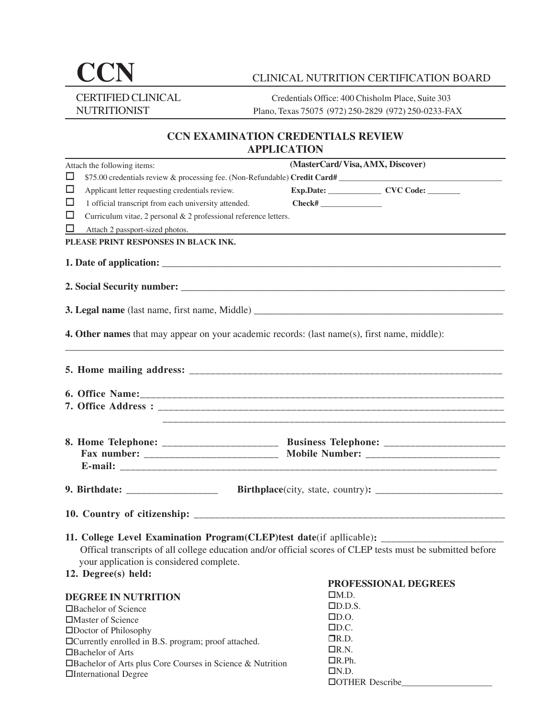# CCN CLINICAL NUTRITION CERTIFICATION BOARD

CERTIFIED CLINICAL Credentials Office: 400 Chisholm Place, Suite 303 NUTRITIONIST Plano, Texas 75075 (972) 250-2829 (972) 250-0233-FAX

# **CCN EXAMINATION CREDENTIALS REVIEW APPLICATION**

| Attach the following items:                                                                         | (MasterCard/Visa, AMX, Discover)                                                                           |
|-----------------------------------------------------------------------------------------------------|------------------------------------------------------------------------------------------------------------|
| ⊔                                                                                                   | \$75.00 credentials review & processing fee. (Non-Refundable) Credit Card#                                 |
| $\Box$<br>Applicant letter requesting credentials review.                                           | Exp.Date: __________________ CVC Code: ________                                                            |
| $\Box$<br>1 official transcript from each university attended.                                      |                                                                                                            |
| ப<br>Curriculum vitae, 2 personal & 2 professional reference letters.                               |                                                                                                            |
| $\Box$<br>Attach 2 passport-sized photos.                                                           |                                                                                                            |
| PLEASE PRINT RESPONSES IN BLACK INK.                                                                |                                                                                                            |
|                                                                                                     |                                                                                                            |
|                                                                                                     |                                                                                                            |
|                                                                                                     |                                                                                                            |
| 3. Legal name (last name, first name, Middle) ___________________________________                   |                                                                                                            |
|                                                                                                     |                                                                                                            |
| <b>4. Other names</b> that may appear on your academic records: (last name(s), first name, middle): |                                                                                                            |
|                                                                                                     |                                                                                                            |
|                                                                                                     |                                                                                                            |
|                                                                                                     |                                                                                                            |
|                                                                                                     |                                                                                                            |
|                                                                                                     |                                                                                                            |
|                                                                                                     |                                                                                                            |
|                                                                                                     |                                                                                                            |
|                                                                                                     | 8. Home Telephone: _________________________ Business Telephone: ________________                          |
|                                                                                                     | Fax number: ___________________________ Mobile Number: _________________________                           |
|                                                                                                     |                                                                                                            |
|                                                                                                     |                                                                                                            |
|                                                                                                     |                                                                                                            |
|                                                                                                     |                                                                                                            |
|                                                                                                     |                                                                                                            |
|                                                                                                     |                                                                                                            |
| 11. College Level Examination Program(CLEP)test date(if apllicable): ____________                   |                                                                                                            |
|                                                                                                     | Offical transcripts of all college education and/or official scores of CLEP tests must be submitted before |
| your application is considered complete.                                                            |                                                                                                            |
| 12. Degree(s) held:                                                                                 | PROFESSIONAL DEGREES                                                                                       |
|                                                                                                     | $\Box M.D.$                                                                                                |
| <b>DEGREE IN NUTRITION</b>                                                                          | $\square$ D.D.S.                                                                                           |
| $\Box$ Bachelor of Science                                                                          | $\square$ D.O.                                                                                             |
| □Master of Science<br>□Doctor of Philosophy                                                         | $\square$ D.C.                                                                                             |
| □ Currently enrolled in B.S. program; proof attached.                                               | $\n  IR.D.\n$                                                                                              |
| □Bachelor of Arts                                                                                   | $\Box$ R.N.                                                                                                |
| □ Bachelor of Arts plus Core Courses in Science & Nutrition                                         | $\Box R.Ph.$                                                                                               |
| □International Degree                                                                               | LN.D.                                                                                                      |
|                                                                                                     | □OTHER Describe                                                                                            |